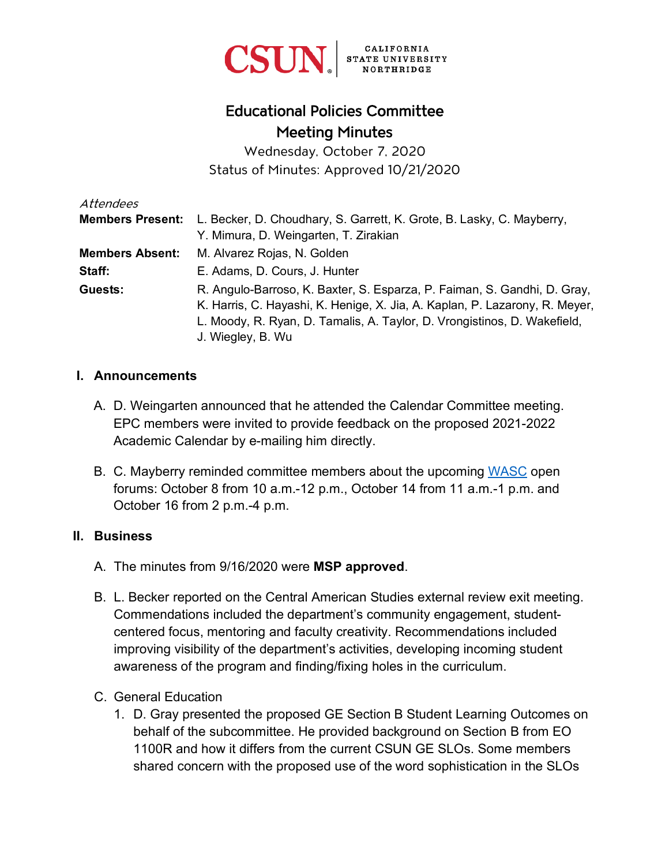

# Educational Policies Committee Meeting Minutes

Wednesday, October 7, 2020 Status of Minutes: Approved 10/21/2020

| Attendees               |                                                                             |
|-------------------------|-----------------------------------------------------------------------------|
| <b>Members Present:</b> | L. Becker, D. Choudhary, S. Garrett, K. Grote, B. Lasky, C. Mayberry,       |
|                         | Y. Mimura, D. Weingarten, T. Zirakian                                       |
| <b>Members Absent:</b>  | M. Alvarez Rojas, N. Golden                                                 |
| Staff:                  | E. Adams, D. Cours, J. Hunter                                               |
| Guests:                 | R. Angulo-Barroso, K. Baxter, S. Esparza, P. Faiman, S. Gandhi, D. Gray,    |
|                         | K. Harris, C. Hayashi, K. Henige, X. Jia, A. Kaplan, P. Lazarony, R. Meyer, |
|                         | L. Moody, R. Ryan, D. Tamalis, A. Taylor, D. Vrongistinos, D. Wakefield,    |
|                         | J. Wiegley, B. Wu                                                           |

#### **I. Announcements**

- A. D. Weingarten announced that he attended the Calendar Committee meeting. EPC members were invited to provide feedback on the proposed 2021-2022 Academic Calendar by e-mailing him directly.
- B. C. Mayberry reminded committee members about the upcoming [WASC](https://www.csun.edu/wasc) open forums: October 8 from 10 a.m.-12 p.m., October 14 from 11 a.m.-1 p.m. and October 16 from 2 p.m.-4 p.m.

#### **II. Business**

- A. The minutes from 9/16/2020 were **MSP approved**.
- B. L. Becker reported on the Central American Studies external review exit meeting. Commendations included the department's community engagement, studentcentered focus, mentoring and faculty creativity. Recommendations included improving visibility of the department's activities, developing incoming student awareness of the program and finding/fixing holes in the curriculum.
- C. General Education
	- 1. D. Gray presented the proposed GE Section B Student Learning Outcomes on behalf of the subcommittee. He provided background on Section B from EO 1100R and how it differs from the current CSUN GE SLOs. Some members shared concern with the proposed use of the word sophistication in the SLOs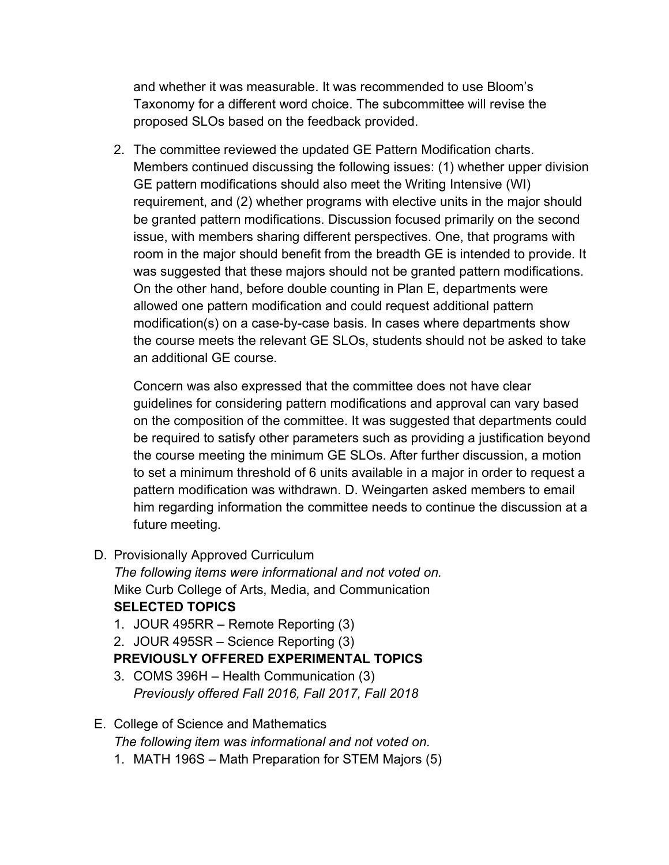and whether it was measurable. It was recommended to use Bloom's Taxonomy for a different word choice. The subcommittee will revise the proposed SLOs based on the feedback provided.

2. The committee reviewed the updated GE Pattern Modification charts. Members continued discussing the following issues: (1) whether upper division GE pattern modifications should also meet the Writing Intensive (WI) requirement, and (2) whether programs with elective units in the major should be granted pattern modifications. Discussion focused primarily on the second issue, with members sharing different perspectives. One, that programs with room in the major should benefit from the breadth GE is intended to provide. It was suggested that these majors should not be granted pattern modifications. On the other hand, before double counting in Plan E, departments were allowed one pattern modification and could request additional pattern modification(s) on a case-by-case basis. In cases where departments show the course meets the relevant GE SLOs, students should not be asked to take an additional GE course.

Concern was also expressed that the committee does not have clear guidelines for considering pattern modifications and approval can vary based on the composition of the committee. It was suggested that departments could be required to satisfy other parameters such as providing a justification beyond the course meeting the minimum GE SLOs. After further discussion, a motion to set a minimum threshold of 6 units available in a major in order to request a pattern modification was withdrawn. D. Weingarten asked members to email him regarding information the committee needs to continue the discussion at a future meeting.

D. Provisionally Approved Curriculum

*The following items were informational and not voted on.* Mike Curb College of Arts, Media, and Communication **SELECTED TOPICS**

1. JOUR 495RR – Remote Reporting (3)

2. JOUR 495SR – Science Reporting (3)

## **PREVIOUSLY OFFERED EXPERIMENTAL TOPICS**

3. COMS 396H – Health Communication (3) *Previously offered Fall 2016, Fall 2017, Fall 2018*

## E. College of Science and Mathematics

*The following item was informational and not voted on.*

1. MATH 196S – Math Preparation for STEM Majors (5)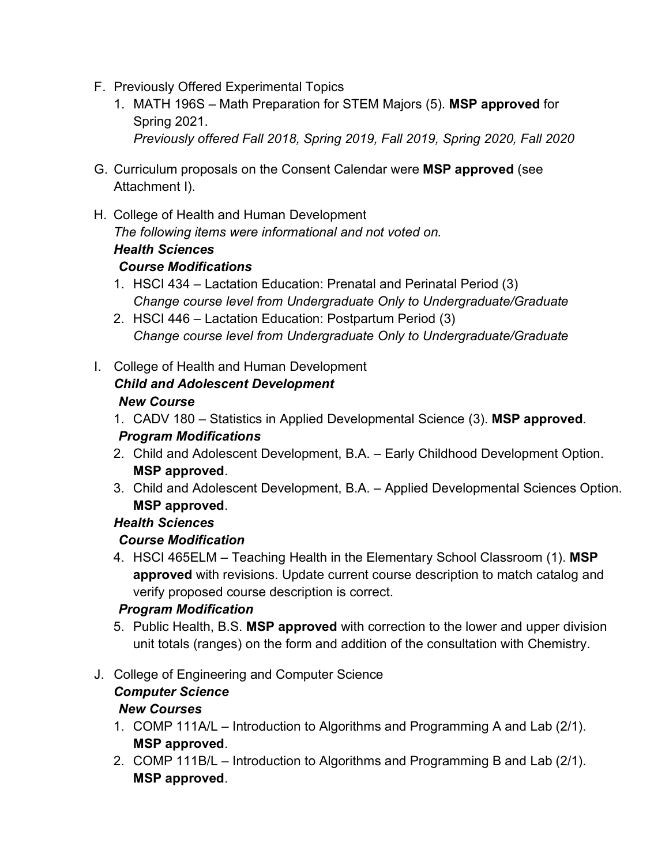- F. Previously Offered Experimental Topics
	- 1. MATH 196S Math Preparation for STEM Majors (5). **MSP approved** for Spring 2021. *Previously offered Fall 2018, Spring 2019, Fall 2019, Spring 2020, Fall 2020*
- G. Curriculum proposals on the Consent Calendar were **MSP approved** (see Attachment I).
- H. College of Health and Human Development *The following items were informational and not voted on. Health Sciences*

#### *Course Modifications*

- 1. HSCI 434 Lactation Education: Prenatal and Perinatal Period (3) *Change course level from Undergraduate Only to Undergraduate/Graduate*
- 2. HSCI 446 Lactation Education: Postpartum Period (3) *Change course level from Undergraduate Only to Undergraduate/Graduate*
- I. College of Health and Human Development

# *Child and Adolescent Development*

#### *New Course*

- 1. CADV 180 Statistics in Applied Developmental Science (3). **MSP approved**. *Program Modifications*
- 2. Child and Adolescent Development, B.A. Early Childhood Development Option. **MSP approved**.
- 3. Child and Adolescent Development, B.A. Applied Developmental Sciences Option. **MSP approved**.

## *Health Sciences*

## *Course Modification*

4. HSCI 465ELM – Teaching Health in the Elementary School Classroom (1). **MSP approved** with revisions. Update current course description to match catalog and verify proposed course description is correct.

## *Program Modification*

5. Public Health, B.S. **MSP approved** with correction to the lower and upper division unit totals (ranges) on the form and addition of the consultation with Chemistry.

## J. College of Engineering and Computer Science

## *Computer Science*

## *New Courses*

- 1. COMP 111A/L Introduction to Algorithms and Programming A and Lab (2/1). **MSP approved**.
- 2. COMP 111B/L Introduction to Algorithms and Programming B and Lab (2/1). **MSP approved**.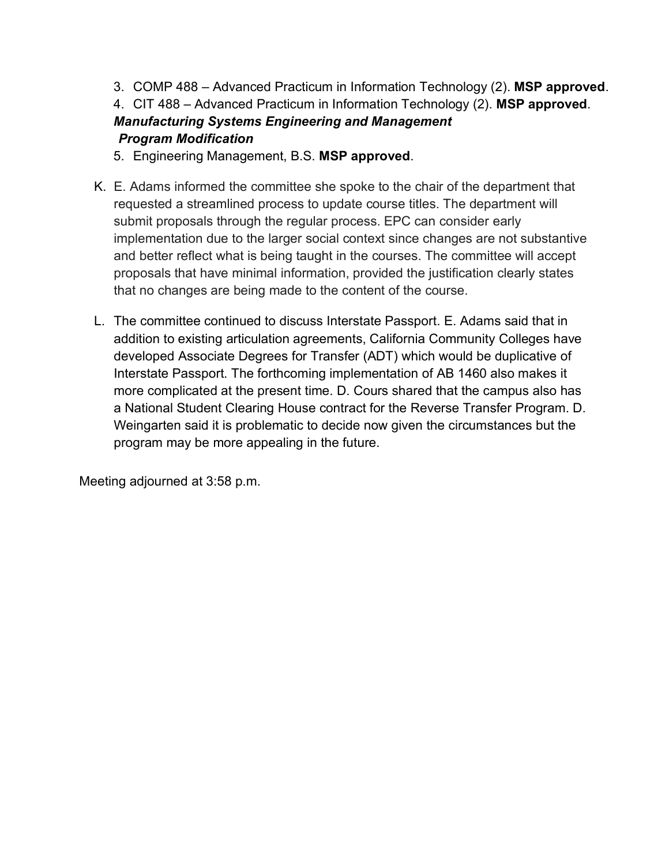3. COMP 488 – Advanced Practicum in Information Technology (2). **MSP approved**.

4. CIT 488 – Advanced Practicum in Information Technology (2). **MSP approved**. *Manufacturing Systems Engineering and Management Program Modification*

- 5. Engineering Management, B.S. **MSP approved**.
- K. E. Adams informed the committee she spoke to the chair of the department that requested a streamlined process to update course titles. The department will submit proposals through the regular process. EPC can consider early implementation due to the larger social context since changes are not substantive and better reflect what is being taught in the courses. The committee will accept proposals that have minimal information, provided the justification clearly states that no changes are being made to the content of the course.
- L. The committee continued to discuss Interstate Passport. E. Adams said that in addition to existing articulation agreements, California Community Colleges have developed Associate Degrees for Transfer (ADT) which would be duplicative of Interstate Passport. The forthcoming implementation of AB 1460 also makes it more complicated at the present time. D. Cours shared that the campus also has a National Student Clearing House contract for the Reverse Transfer Program. D. Weingarten said it is problematic to decide now given the circumstances but the program may be more appealing in the future.

Meeting adjourned at 3:58 p.m.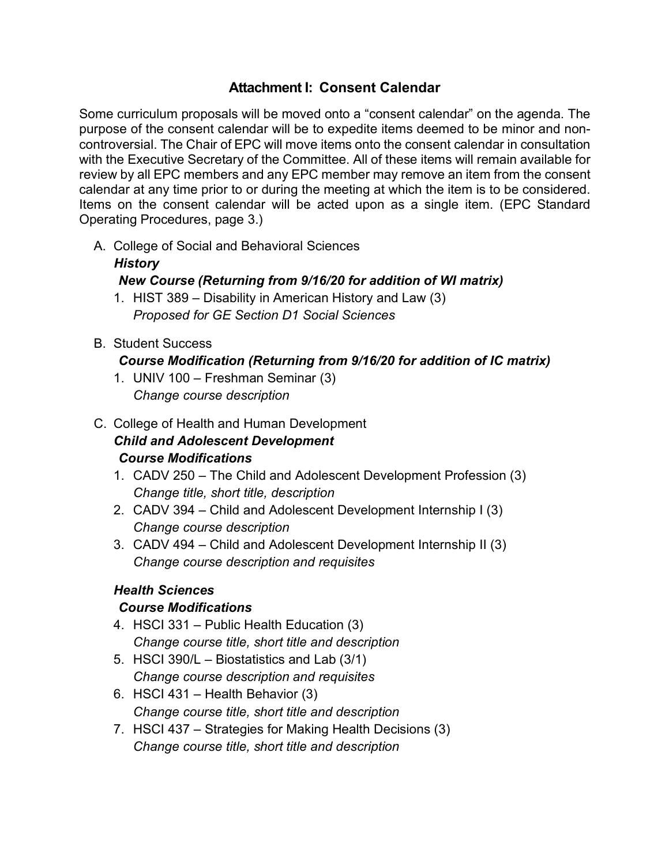#### **Attachment I: Consent Calendar**

Some curriculum proposals will be moved onto a "consent calendar" on the agenda. The purpose of the consent calendar will be to expedite items deemed to be minor and noncontroversial. The Chair of EPC will move items onto the consent calendar in consultation with the Executive Secretary of the Committee. All of these items will remain available for review by all EPC members and any EPC member may remove an item from the consent calendar at any time prior to or during the meeting at which the item is to be considered. Items on the consent calendar will be acted upon as a single item. (EPC Standard Operating Procedures, page 3.)

A. College of Social and Behavioral Sciences

#### *History*

## *New Course (Returning from 9/16/20 for addition of WI matrix)*

- 1. HIST 389 Disability in American History and Law (3) *Proposed for GE Section D1 Social Sciences*
- B. Student Success

#### *Course Modification (Returning from 9/16/20 for addition of IC matrix)*

- 1. UNIV 100 Freshman Seminar (3) *Change course description*
- C. College of Health and Human Development *Child and Adolescent Development Course Modifications*
	- 1. CADV 250 The Child and Adolescent Development Profession (3) *Change title, short title, description*
	- 2. CADV 394 Child and Adolescent Development Internship I (3) *Change course description*
	- 3. CADV 494 Child and Adolescent Development Internship II (3) *Change course description and requisites*

## *Health Sciences*

#### *Course Modifications*

- 4. HSCI 331 Public Health Education (3) *Change course title, short title and description*
- 5. HSCI 390/L Biostatistics and Lab (3/1) *Change course description and requisites*
- 6. HSCI 431 Health Behavior (3) *Change course title, short title and description*
- 7. HSCI 437 Strategies for Making Health Decisions (3) *Change course title, short title and description*